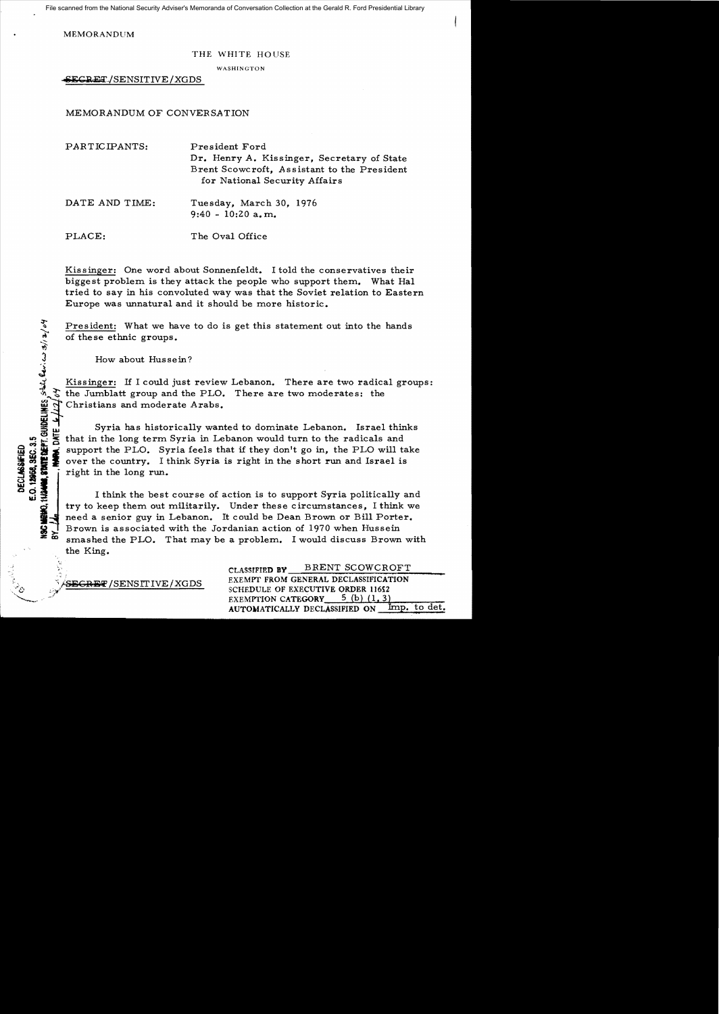File scanned from the National Security Adviser's Memoranda of Conversation Collection at the Gerald R. Ford Presidential Library

MEMORANDUM

## THE WHITE HOUSE

WASHINGTON

SECRET/SENSITIVE/XGDS

MEMORANDUM OF CONVERSATION

| PARTICIPANTS:  | President Ford<br>Dr. Henry A. Kissinger, Secretary of State<br>Brent Scowcroft, Assistant to the President<br>for National Security Affairs |
|----------------|----------------------------------------------------------------------------------------------------------------------------------------------|
| DATE AND TIME: | Tuesday, March 30, 1976<br>$9:40 - 10:20$ a.m.                                                                                               |
| PLACE:         | The Oval Office                                                                                                                              |

Kissinger: One word about Sonnenfeldt. I told the conservatives their biggest problem is they attack the people who support them. What Hal tried to say in his convoluted way was that the Soviet relation to Eastern Europe was unnatural and it should be more historic.

President: What we have to do is get this statement out into the hands of these ethnic groups.

How about Hussein?

~

~

j.<br>J

E.O. 12968, SEC. 3.5

Kissinger: If I could just review Lebanon. There are two radical groups:  $\mathcal{F}$  the Jumblatt group and the PLO. There are two moderates: the Christians and moderate Arabs. स<br>दर्भ<br>साम्र

Syria has historically wanted to dominate Lebanon. Israel thinks that in the long term Syria in Lebanon would turn to the radicals and  $\frac{1}{2}$  which will take over the country. I think Syria is right in the short run and Israel is<br>  $\frac{1}{2}$  was also control over the country. I think Syria is right in the short run and Israel is<br>  $\frac{1}{2}$  is right in over the country. I think Syria is right in the short run and Israel is right in the long run.

I think the best course of action is to support Syria politically and try to keep them out militarily. Under these circumstances, I think we need a senior guy in Lebanon. It could be Dean Brown or Bill Porter. Brown is associated with the Jordanian action of 1970 when Hussein smashed the PLO. That may be a problem. I would discuss Brown with the King.

CLASSIFIED BY **BRENT SCOWCROFT** EXEMPT FROM GENERAL DECLASSIFICATION \$. EXEMPT FROM GENERAL DECLASSIFICATION EXEMPTION CATEGORY  $5$  (b) (1, 3) AUTOMATICALLY DECLASSIFIED ON Imp. to det.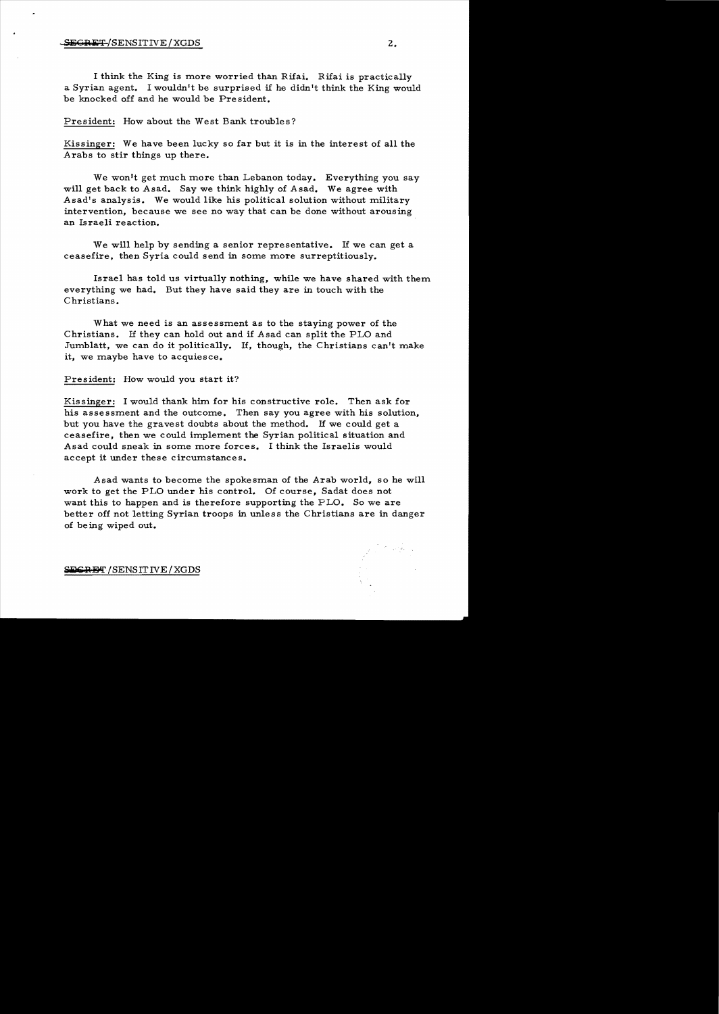I think the King is more worried than Rifai. Rifai is practically a Syrian agent. I wouldn't be surprised if he didn't think the King would be knocked off and he would be President.

President: How about the West Bank troubles?

Kissinger: We have been lucky so far but it is in the interest of all the Arabs to stir things up there.

We won't get much more than Lebanon today. Everything you say will get back to Asad. Say we think highly of Asad. We agree with Asad's analysis. We would like his political solution without military intervention, because we see no way that can be done without arousing an Israeli reaction.

We will help by sending a senior representative. If we can get a ceasefire. then Syria could send in some more surreptitiously.

Israel has told us virtually nothing, while we have shared with them everything we had. But they have said they are in touch with the Christians.

What we need is an assessment as to the staying power of the Christians. If they can hold out and if Asad can split the PLO and Jumblatt, we can do it politically. If, though. the Christians can't make it, we maybe have to acquiesce.

President: How would you start it?

Kissinger: I would thank him for his constructive role. Then ask for his assessment and the outcome. Then say you agree with his solution, but you have the gravest doubts about the method. If we could get a ceasefire, then we could implement the Syrian political situation and Asad could sneak in some more forces. I think the Israelis would accept it under these circumstances.

Asad wants to become the spokesman of the Arab world, so he will work to get the PLO under his control. Of course, Sadat does not want this to happen and is therefore supporting the PLO. So we are better off not letting Syrian troops in unless the Christians are in danger of being wiped out.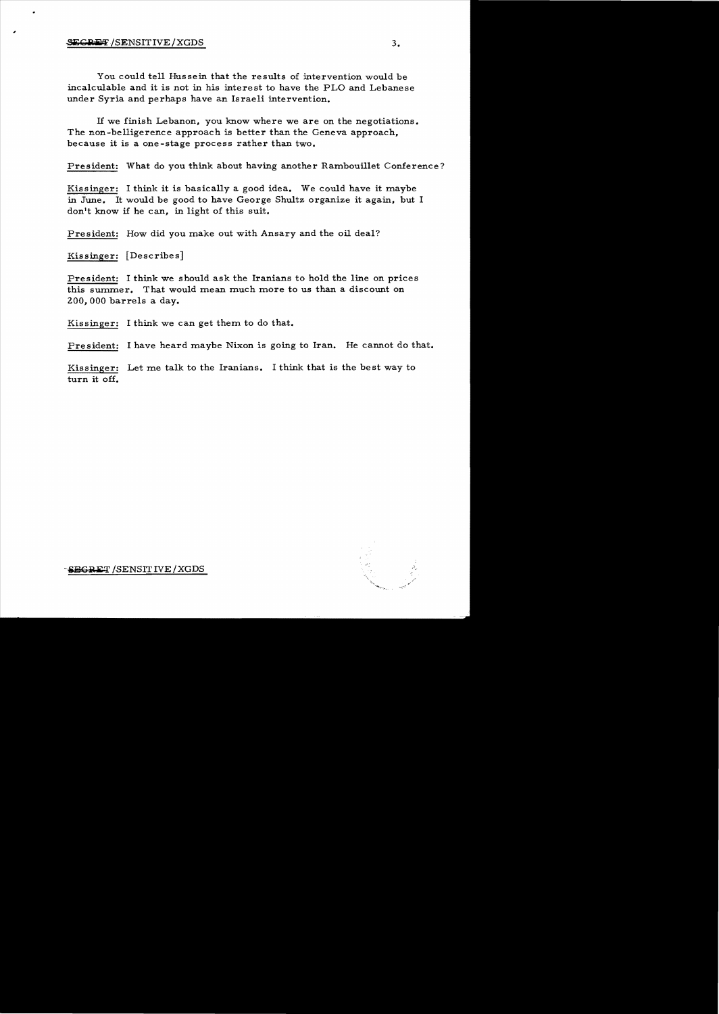;

You could tell Hussein that the results of intervention would be incalculable and it is not in his interest to have the PLO and Lebanese under Syria and perhaps have an Israeli intervention.

If we finish Lebanon, you know where we are on the negotiations. The non-belligerence approach is better than the Geneva approach, because it is a one-stage process rather than two.

President: What do you think about having another Rambouillet Conference?

Kissinger: I think it is basically a good idea. We could have it maybe in June. It would be good to have George Shultz organize it again, but I don't know if he can, in light of this suit.

President: How did you make out with Ansary and the oil deal?

Kissinger: [Describes]

President: I think we should ask the Iranians to hold the line on prices this summer. That would mean much more to us than a discount on 200,000 barrels a day.

Kissinger: I think we can get them to do that.

President: I have heard maybe Nixon is going to Iran. He cannot do that.

Kissinger: Let me talk to the Iranians. I think that is the best way to turn it off.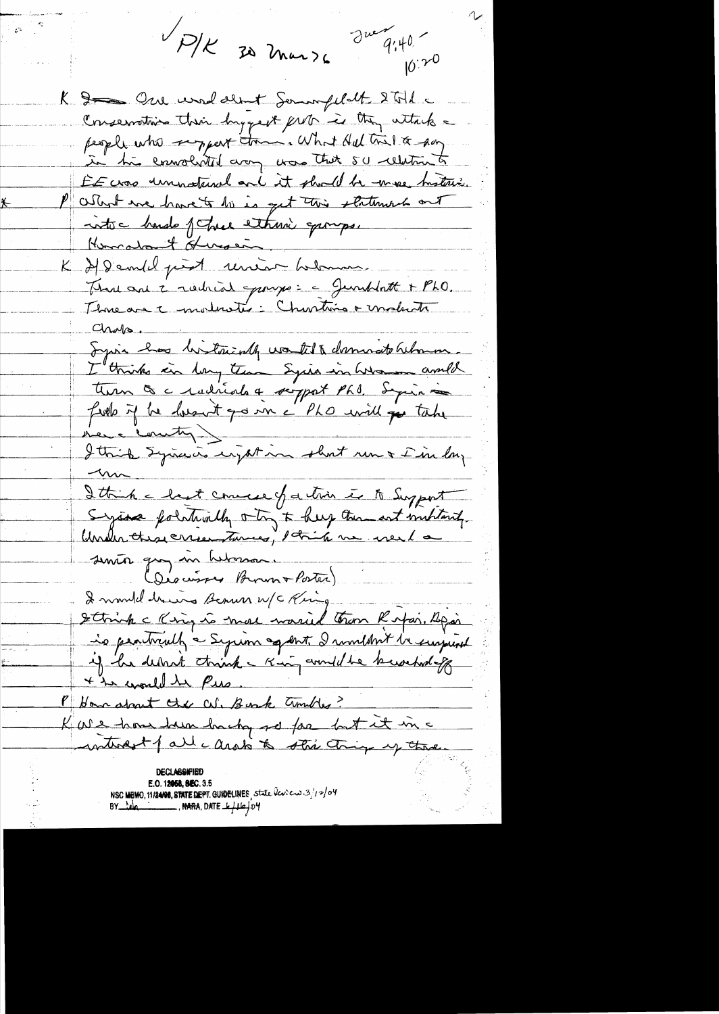P/K 30 mars du 9:40- $\mathscr{E}^{\otimes n}$  $10^{120}$ K & One und den + Sommfilatt 2 Til a Conservative their hygest put is they attack a people who support tome. What Helton & say in his enwolvited arony was that so celetion to EE was unnatural and it should be more bustinic. What we have to be is get this statement out into hando fotose ethnic gamps. Homatant Heroen K 2/9 embla prest renéau balance June avec 2 rocheod pourse : c Junklatt + PLO. Threase moltarie Chartine e moltate Chaps. Syria has bitterially worked & domando behavior. I think in lay time Syria in War amble field if he husuit go in c'ho urill pe take Ittishe hast commerce of a trin in to Support System pointerally otry to help then art institute Under the crise turnes, 1 tris me veil a senior que in hebresson. (Déscuisses Brown + Porter) I mondel draws Benun w/c King Strink c King is more warried tron Ripai. Spai is pentrially a Syrian agent. I multint in surprisent + to world to Pie Mitom about the cut. Bunk Tumbles? Kare home hum hacky so far but it in a interest of all carato to star things up there. E.O. 12058, 8EC. 3.5 NSC MEMO, 11/24/08, STATE DEPT. GUIDELINES, state leven 3/12/04<br>BY Note (11/24/08, DATE - 16/04/04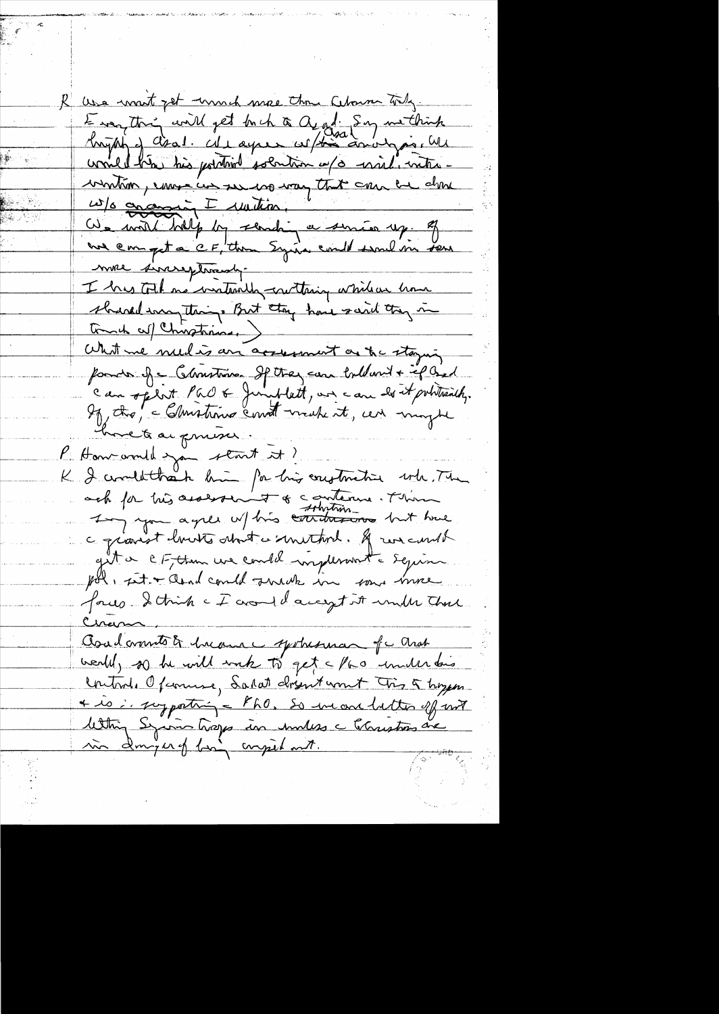R use want get wouch more than Cebouse tody. Everything will get buch a aggli Son methink would him his portional solution of a wish with winton, come in ser us way that can be done W/s ananin I rution. Il suite après 19 million 19 millet de la maison 19 millet de la maison 19 millet de la maison 19 millet de la maison 19 millet de la maison 19 millet de la maison 19 millet de la maison 19 millet de l more sincereptionaly. I has tell no instanding cruthing while are home shared may things But they have said they in Tomat auf Chinostrains. What we meed is an accessment as the staying ponde est Christian Sptter com tollant + if Ged can optist Par & Jumplatt, un can des et politicals. My the, - Christians count make it, un moyte hvet a prussi. K Hancomill san start et? K I condit trait hui par his construction who The c gravest housts about a smethod. If we cannot get a CF, then we could implessment a Sequin pol, sito and could surely in some more four Strink - I around accept it under the asadamento & Income yestresman of a and wealth, so he will work to get a face under this Control. Openine, Salat drynt won't Tris & hozen + is in surporting = PhO, So inconductor of not lettring Syring happe in unless christians are in dougery ban compilant.